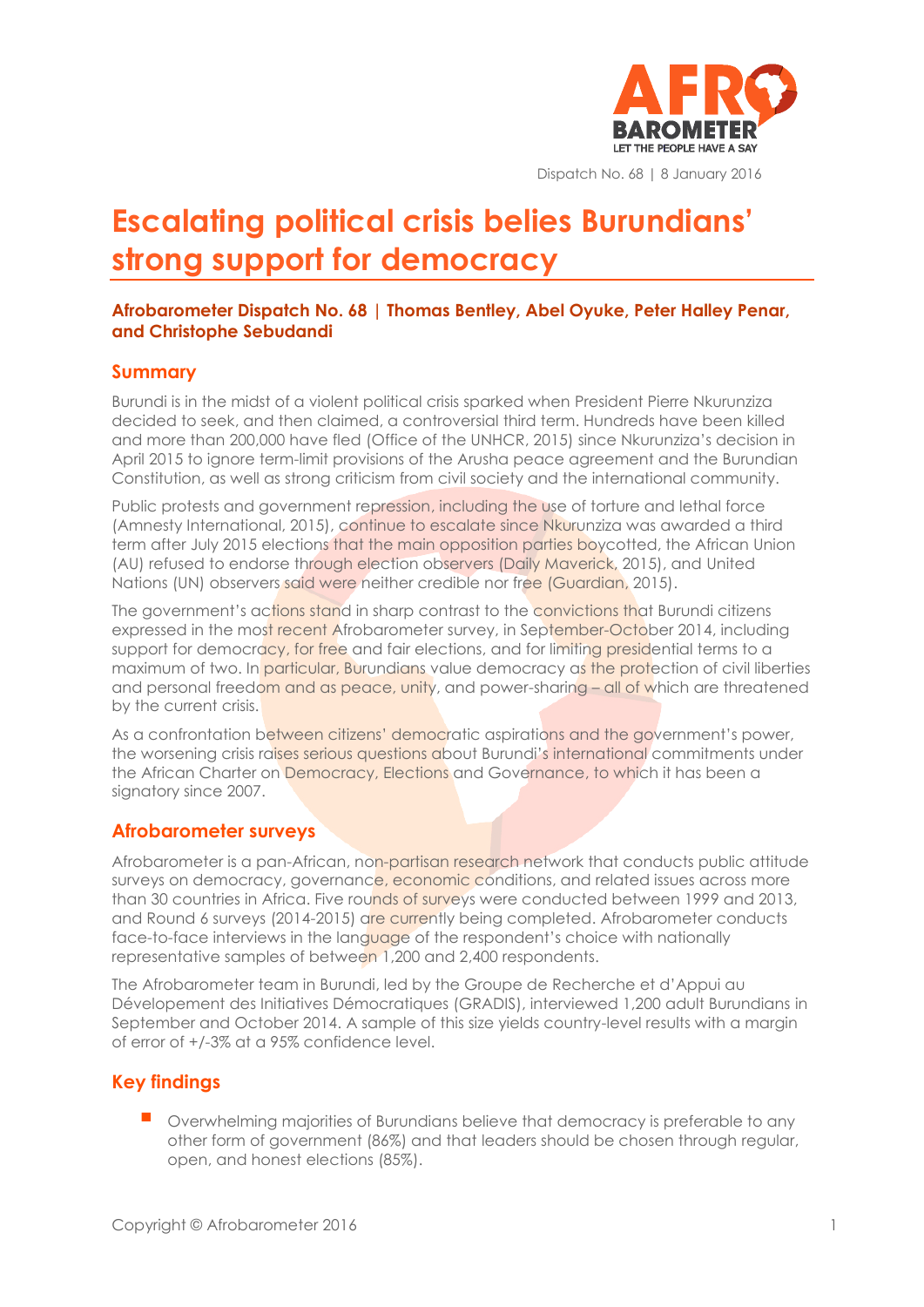

Dispatch No. 68 | 8 January 2016

# **Escalating political crisis belies Burundians' strong support for democracy**

#### **Afrobarometer Dispatch No. 68 | Thomas Bentley, Abel Oyuke, Peter Halley Penar, and Christophe Sebudandi**

#### **Summary**

Burundi is in the midst of a violent political crisis sparked when President Pierre Nkurunziza decided to seek, and then claimed, a controversial third term. Hundreds have been killed and more than 200,000 have fled (Office of the UNHCR, 2015) since Nkurunziza's decision in April 2015 to ignore term-limit provisions of the Arusha peace agreement and the Burundian Constitution, as well as strong criticism from civil society and the international community.

Public protests and government repression, including the use of torture and lethal force (Amnesty International, 2015), continue to escalate since Nkurunziza was awarded a third term after July 2015 elections that the main opposition parties boycotted, the African Union (AU) refused to endorse through election observers (Daily Maverick, 2015), and United Nations (UN) observers said were neither credible nor free (Guardian, 2015).

The government's actions stand in sharp contrast to the convictions that Burundi citizens expressed in the most recent Afrobarometer survey, in September-October 2014, including support for democracy, for free and fair elections, and for limiting presidential terms to a maximum of two. In particular, Burundians value democracy as the protection of civil liberties and personal freedom and as peace, unity, and power-sharing – all of which are threatened by the current crisis.

As a confrontation between citizens' democratic aspirations and the government's power, the worsening crisis raises serious questions about Burundi's international commitments under the African Charter on Democracy, Elections and Governance, to which it has been a signatory since 2007.

#### **Afrobarometer surveys**

Afrobarometer is a pan-African, non-partisan research network that conducts public attitude surveys on democracy, governance, economic conditions, and related issues across more than 30 countries in Africa. Five rounds of surveys were conducted between 1999 and 2013, and Round 6 surveys (2014-2015) are currently being completed. Afrobarometer conducts face-to-face interviews in the language of the respondent's choice with nationally representative samples of between 1,200 and 2,400 respondents.

The Afrobarometer team in Burundi, led by the Groupe de Recherche et d'Appui au Dévelopement des Initiatives Démocratiques (GRADIS), interviewed 1,200 adult Burundians in September and October 2014. A sample of this size yields country-level results with a margin of error of +/-3% at a 95% confidence level.

## **Key findings**

 Overwhelming majorities of Burundians believe that democracy is preferable to any other form of government (86%) and that leaders should be chosen through regular, open, and honest elections (85%).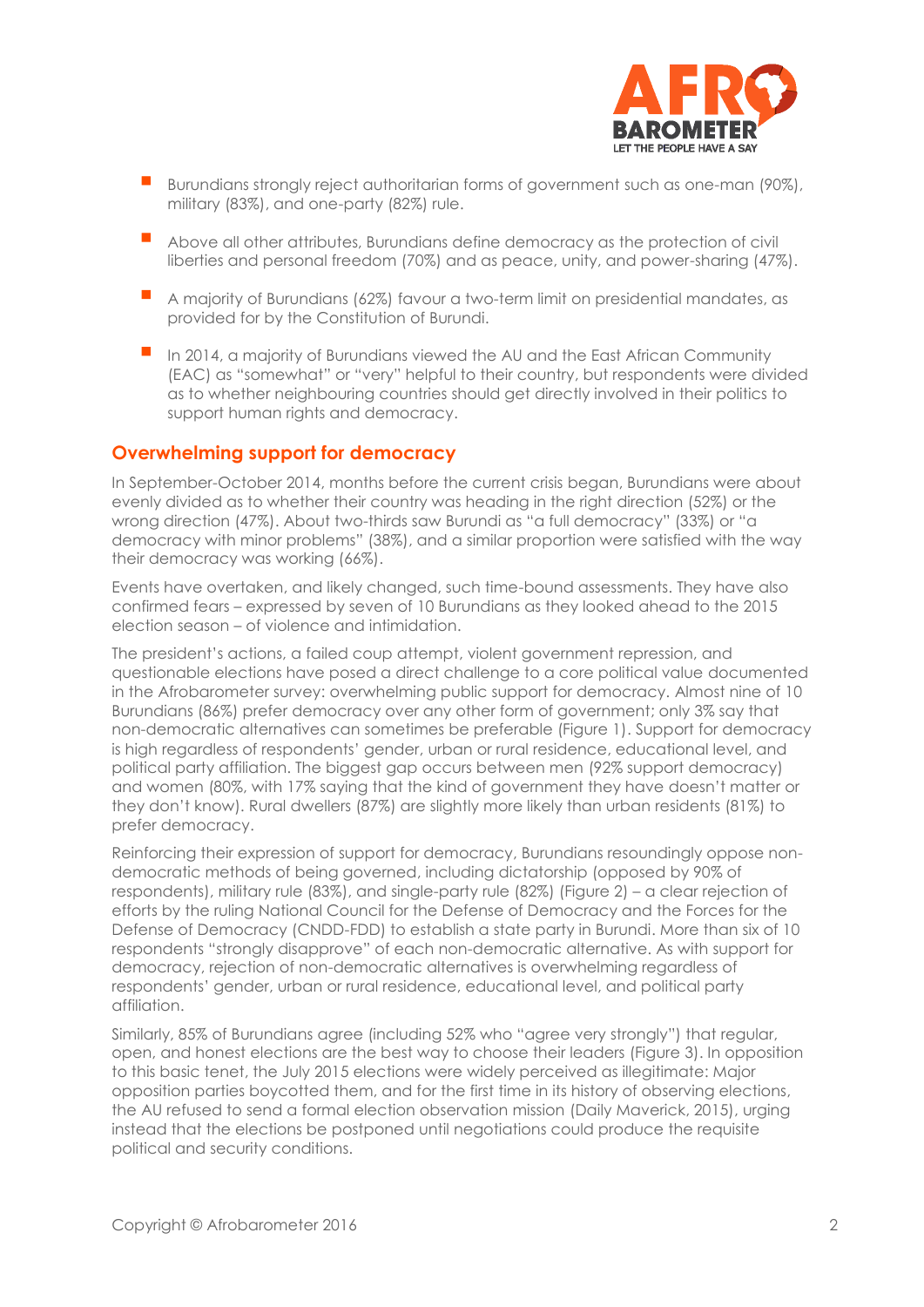

- Burundians strongly reject authoritarian forms of government such as one-man (90%), military (83%), and one-party (82%) rule.
- Above all other attributes, Burundians define democracy as the protection of civil liberties and personal freedom (70%) and as peace, unity, and power-sharing (47%).
- A majority of Burundians (62%) favour a two-term limit on presidential mandates, as provided for by the Constitution of Burundi.
- In 2014, a majority of Burundians viewed the AU and the East African Community (EAC) as "somewhat" or "very" helpful to their country, but respondents were divided as to whether neighbouring countries should get directly involved in their politics to support human rights and democracy.

#### **Overwhelming support for democracy**

In September-October 2014, months before the current crisis began, Burundians were about evenly divided as to whether their country was heading in the right direction (52%) or the wrong direction (47%). About two-thirds saw Burundi as "a full democracy" (33%) or "a democracy with minor problems" (38%), and a similar proportion were satisfied with the way their democracy was working (66%).

Events have overtaken, and likely changed, such time-bound assessments. They have also confirmed fears – expressed by seven of 10 Burundians as they looked ahead to the 2015 election season – of violence and intimidation.

The president's actions, a failed coup attempt, violent government repression, and questionable elections have posed a direct challenge to a core political value documented in the Afrobarometer survey: overwhelming public support for democracy. Almost nine of 10 Burundians (86%) prefer democracy over any other form of government; only 3% say that non-democratic alternatives can sometimes be preferable (Figure 1). Support for democracy is high regardless of respondents' gender, urban or rural residence, educational level, and political party affiliation. The biggest gap occurs between men (92% support democracy) and women (80%, with 17% saying that the kind of government they have doesn't matter or they don't know). Rural dwellers (87%) are slightly more likely than urban residents (81%) to prefer democracy.

Reinforcing their expression of support for democracy, Burundians resoundingly oppose nondemocratic methods of being governed, including dictatorship (opposed by 90% of respondents), military rule (83%), and single-party rule (82%) (Figure 2) – a clear rejection of efforts by the ruling National Council for the Defense of Democracy and the Forces for the Defense of Democracy (CNDD-FDD) to establish a state party in Burundi. More than six of 10 respondents "strongly disapprove" of each non-democratic alternative. As with support for democracy, rejection of non-democratic alternatives is overwhelming regardless of respondents' gender, urban or rural residence, educational level, and political party affiliation.

Similarly, 85% of Burundians agree (including 52% who "agree very strongly") that regular, open, and honest elections are the best way to choose their leaders (Figure 3). In opposition to this basic tenet, the July 2015 elections were widely perceived as illegitimate: Major opposition parties boycotted them, and for the first time in its history of observing elections, the AU refused to send a formal election observation mission (Daily Maverick, 2015), urging instead that the elections be postponed until negotiations could produce the requisite political and security conditions.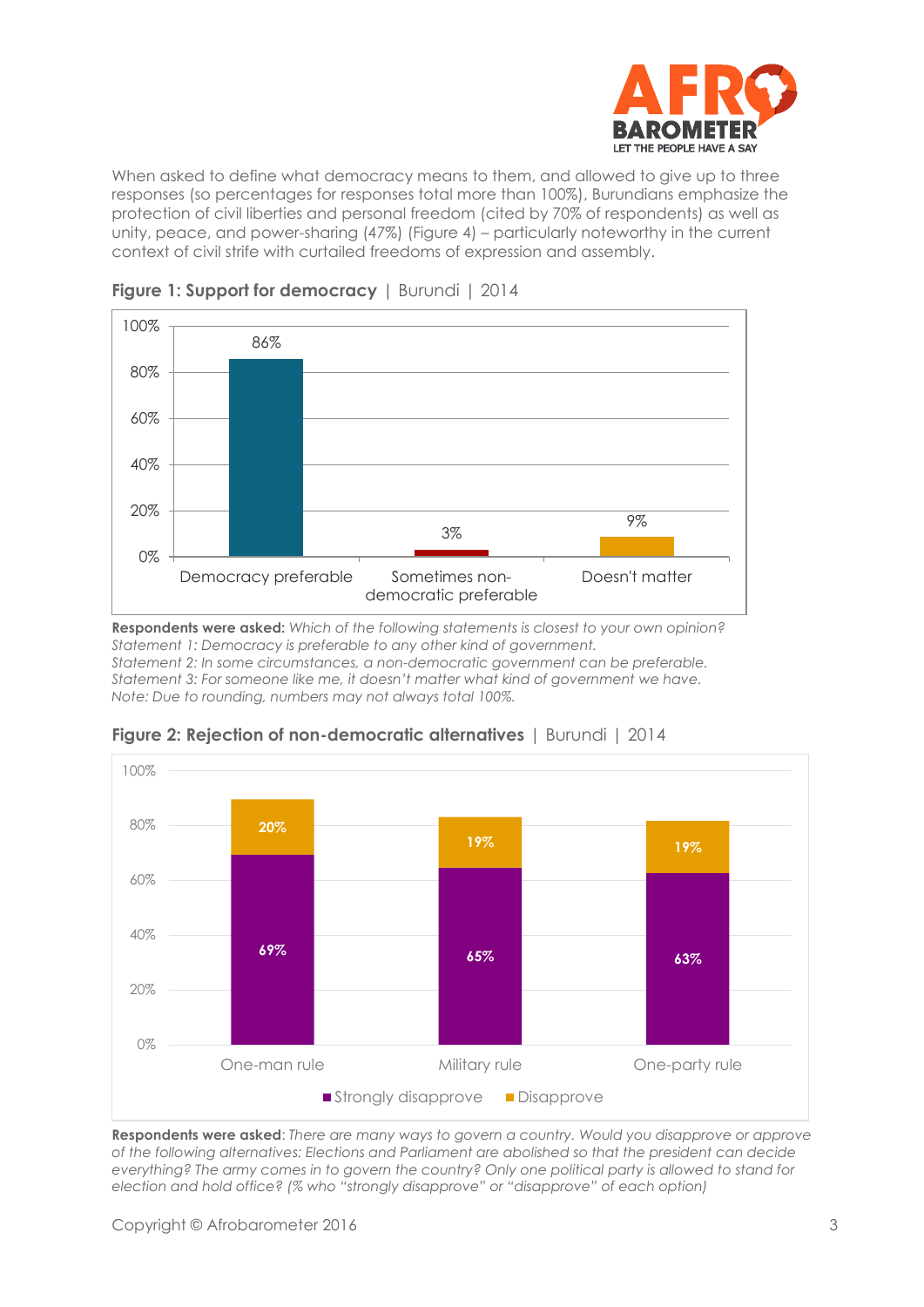

When asked to define what democracy means to them, and allowed to give up to three responses (so percentages for responses total more than 100%), Burundians emphasize the protection of civil liberties and personal freedom (cited by 70% of respondents) as well as unity, peace, and power-sharing (47%) (Figure 4) – particularly noteworthy in the current context of civil strife with curtailed freedoms of expression and assembly.





**Respondents were asked:** *Which of the following statements is closest to your own opinion? Statement 1: Democracy is preferable to any other kind of government. Statement 2: In some circumstances, a non-democratic government can be preferable. Statement 3: For someone like me, it doesn't matter what kind of government we have. Note: Due to rounding, numbers may not always total 100%.*



**Figure 2: Rejection of non-democratic alternatives** | Burundi | 2014

**Respondents were asked**: *There are many ways to govern a country. Would you disapprove or approve of the following alternatives: Elections and Parliament are abolished so that the president can decide everything? The army comes in to govern the country? Only one political party is allowed to stand for election and hold office? (% who "strongly disapprove" or "disapprove" of each option)*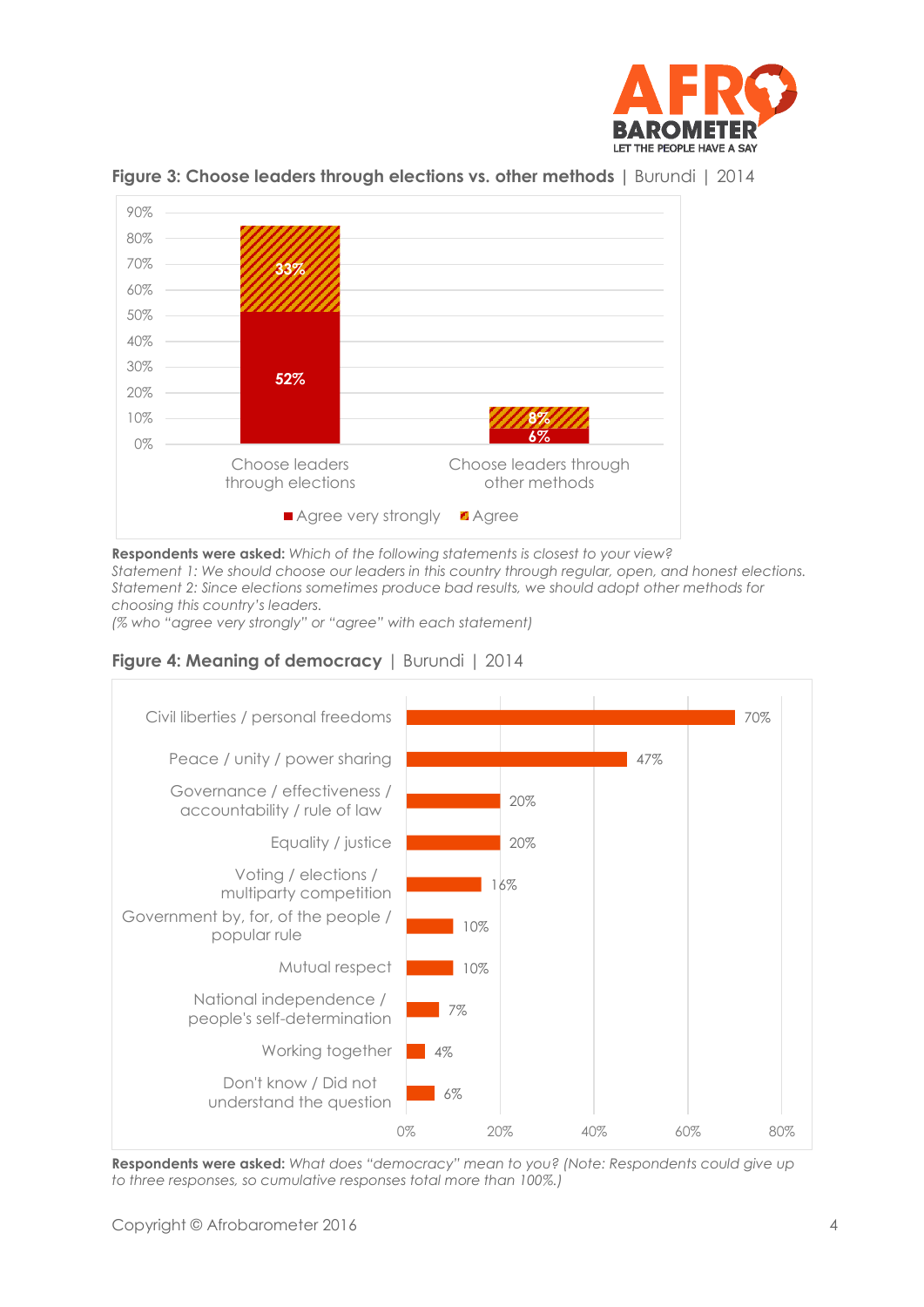



**Figure 3: Choose leaders through elections vs. other methods |** Burundi | 2014

**Respondents were asked:** *Which of the following statements is closest to your view?*

*Statement 1: We should choose our leaders in this country through regular, open, and honest elections. Statement 2: Since elections sometimes produce bad results, we should adopt other methods for choosing this country's leaders.*

*(% who "agree very strongly" or "agree" with each statement)*





**Respondents were asked:** *What does "democracy" mean to you? (Note: Respondents could give up to three responses, so cumulative responses total more than 100%.)*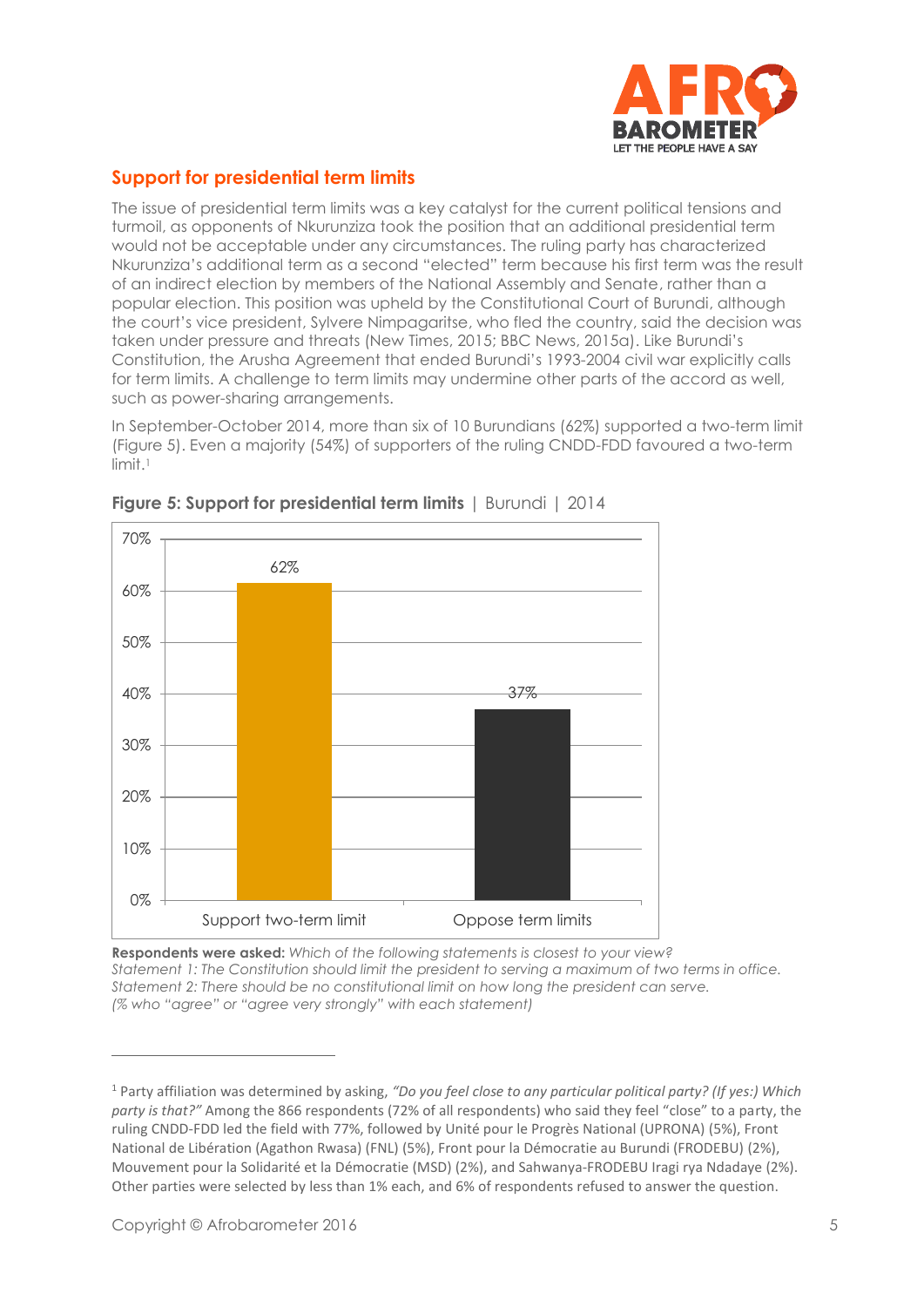

# **Support for presidential term limits**

The issue of presidential term limits was a key catalyst for the current political tensions and turmoil, as opponents of Nkurunziza took the position that an additional presidential term would not be acceptable under any circumstances. The ruling party has characterized Nkurunziza's additional term as a second "elected" term because his first term was the result of an indirect election by members of the National Assembly and Senate, rather than a popular election. This position was upheld by the Constitutional Court of Burundi, although the court's vice president, Sylvere Nimpagaritse, who fled the country, said the decision was taken under pressure and threats (New Times, 2015; BBC News, 2015a). Like Burundi's Constitution, the Arusha Agreement that ended Burundi's 1993-2004 civil war explicitly calls for term limits. A challenge to term limits may undermine other parts of the accord as well, such as power-sharing arrangements.

In September-October 2014, more than six of 10 Burundians (62%) supported a two-term limit (Figure 5). Even a majority (54%) of supporters of the ruling CNDD-FDD favoured a two-term limit. 1



**Figure 5: Support for presidential term limits** | Burundi | 2014

**Respondents were asked:** *Which of the following statements is closest to your view? Statement 1: The Constitution should limit the president to serving a maximum of two terms in office. Statement 2: There should be no constitutional limit on how long the president can serve. (% who "agree" or "agree very strongly" with each statement)*

<sup>1</sup> Party affiliation was determined by asking, *"Do you feel close to any particular political party? (If yes:) Which party is that?"* Among the 866 respondents (72% of all respondents) who said they feel "close" to a party, the ruling CNDD-FDD led the field with 77%, followed by Unité pour le Progrès National (UPRONA) (5%), Front National de Libération (Agathon Rwasa) (FNL) (5%), Front pour la Démocratie au Burundi (FRODEBU) (2%), Mouvement pour la Solidarité et la Démocratie (MSD) (2%), and Sahwanya-FRODEBU Iragi rya Ndadaye (2%). Other parties were selected by less than 1% each, and 6% of respondents refused to answer the question.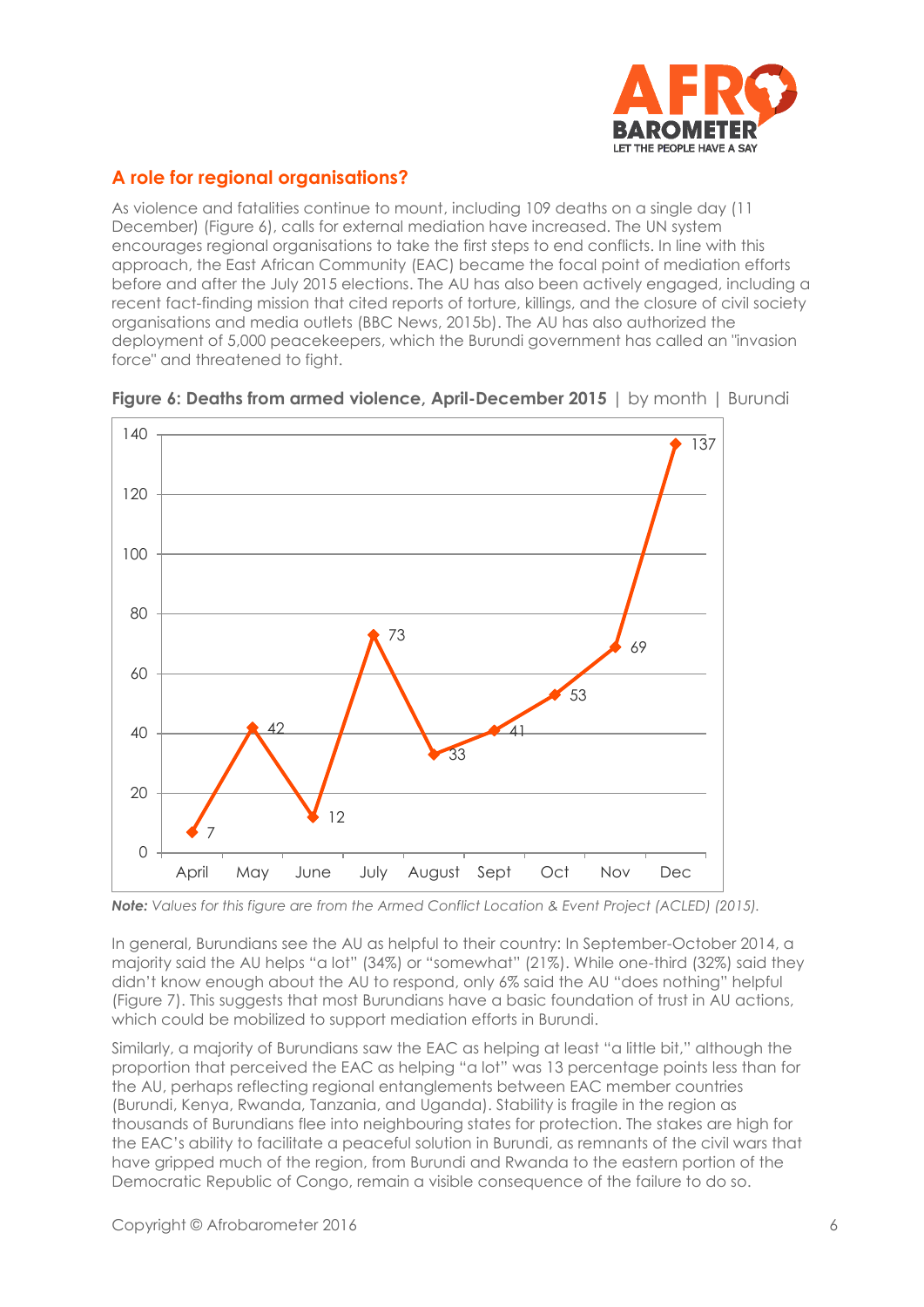

# **A role for regional organisations?**

As violence and fatalities continue to mount, including 109 deaths on a single day (11 December) (Figure 6), calls for external mediation have increased. The UN system encourages regional organisations to take the first steps to end conflicts. In line with this approach, the East African Community (EAC) became the focal point of mediation efforts before and after the July 2015 elections. The AU has also been actively engaged, including a recent fact-finding mission that cited reports of torture, killings, and the closure of civil society organisations and media outlets (BBC News, 2015b). The AU has also authorized the deployment of 5,000 peacekeepers, which the Burundi government has called an "invasion force" and threatened to fight.



**Figure 6: Deaths from armed violence, April-December 2015** | by month | Burundi

*Note: Values for this figure are from the Armed Conflict Location & Event Project (ACLED) (2015).*

In general, Burundians see the AU as helpful to their country: In September-October 2014, a majority said the AU helps "a lot" (34%) or "somewhat" (21%). While one-third (32%) said they didn't know enough about the AU to respond, only 6% said the AU "does nothing" helpful (Figure 7). This suggests that most Burundians have a basic foundation of trust in AU actions, which could be mobilized to support mediation efforts in Burundi.

Similarly, a majority of Burundians saw the EAC as helping at least "a little bit," although the proportion that perceived the EAC as helping "a lot" was 13 percentage points less than for the AU, perhaps reflecting regional entanglements between EAC member countries (Burundi, Kenya, Rwanda, Tanzania, and Uganda). Stability is fragile in the region as thousands of Burundians flee into neighbouring states for protection. The stakes are high for the EAC's ability to facilitate a peaceful solution in Burundi, as remnants of the civil wars that have gripped much of the region, from Burundi and Rwanda to the eastern portion of the Democratic Republic of Congo, remain a visible consequence of the failure to do so.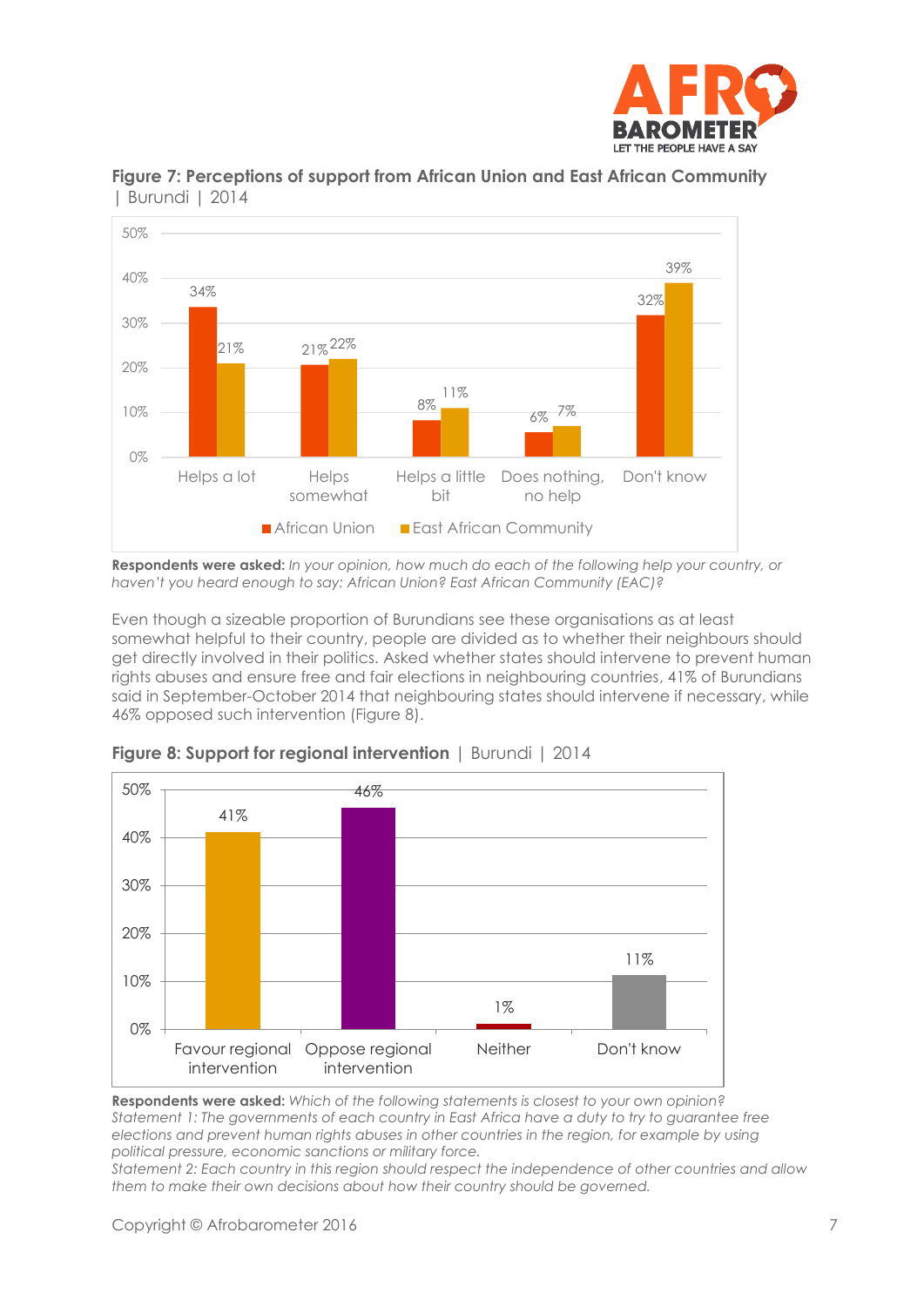





**Respondents were asked:** *In your opinion, how much do each of the following help your country, or haven't you heard enough to say: African Union? East African Community (EAC)?*

Even though a sizeable proportion of Burundians see these organisations as at least somewhat helpful to their country, people are divided as to whether their neighbours should get directly involved in their politics. Asked whether states should intervene to prevent human rights abuses and ensure free and fair elections in neighbouring countries, 41% of Burundians said in September-October 2014 that neighbouring states should intervene if necessary, while 46% opposed such intervention (Figure 8).



**Figure 8: Support for regional intervention** | Burundi | 2014

**Respondents were asked:** *Which of the following statements is closest to your own opinion? Statement 1: The governments of each country in East Africa have a duty to try to guarantee free elections and prevent human rights abuses in other countries in the region, for example by using political pressure, economic sanctions or military force.*

*Statement 2: Each country in this region should respect the independence of other countries and allow them to make their own decisions about how their country should be governed.*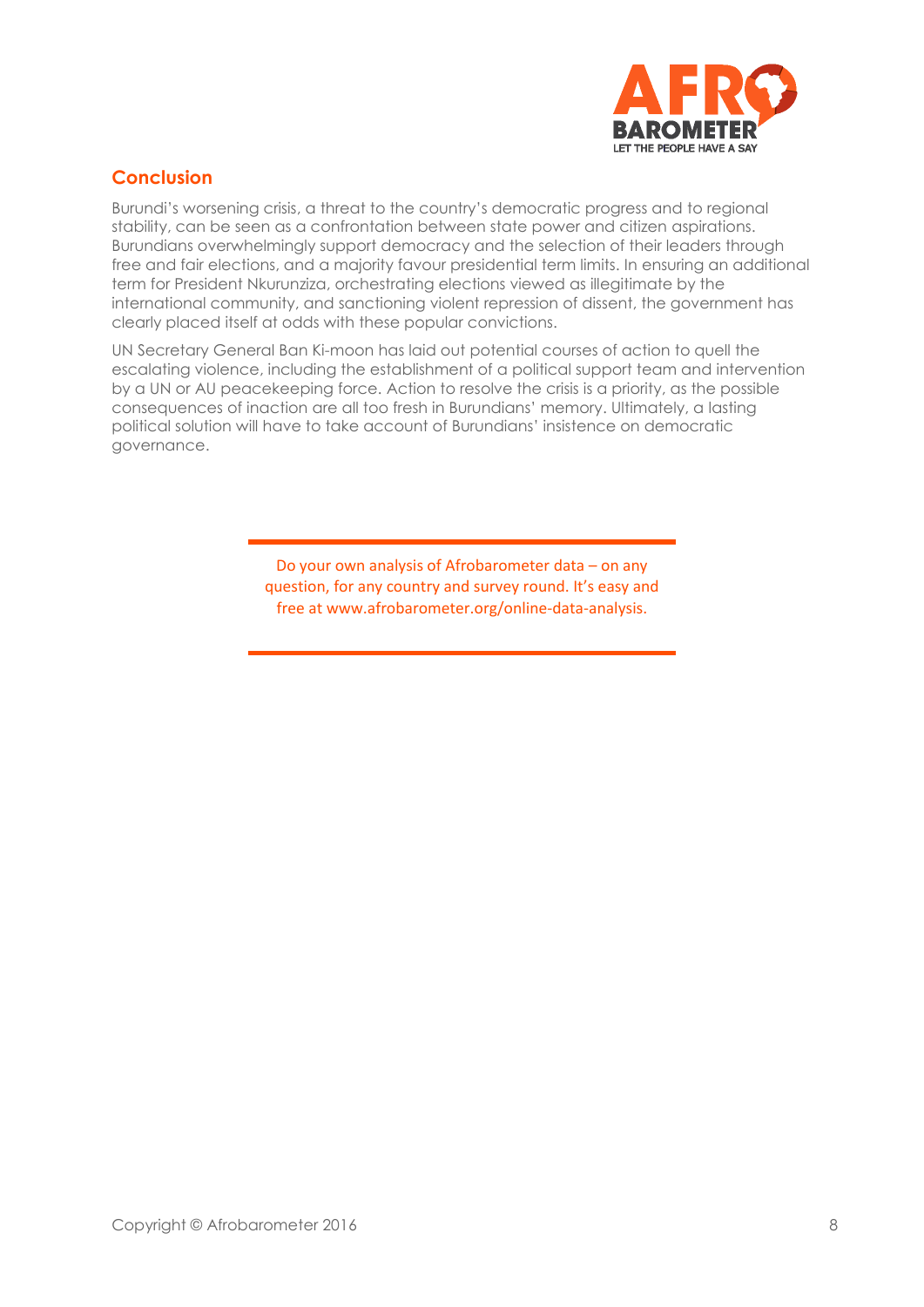

## **Conclusion**

Burundi's worsening crisis, a threat to the country's democratic progress and to regional stability, can be seen as a confrontation between state power and citizen aspirations. Burundians overwhelmingly support democracy and the selection of their leaders through free and fair elections, and a majority favour presidential term limits. In ensuring an additional term for President Nkurunziza, orchestrating elections viewed as illegitimate by the international community, and sanctioning violent repression of dissent, the government has clearly placed itself at odds with these popular convictions.

UN Secretary General Ban Ki-moon has laid out potential courses of action to quell the escalating violence, including the establishment of a political support team and intervention by a UN or AU peacekeeping force. Action to resolve the crisis is a priority, as the possible consequences of inaction are all too fresh in Burundians' memory. Ultimately, a lasting political solution will have to take account of Burundians' insistence on democratic governance.

> Do your own analysis of Afrobarometer data – on any question, for any country and survey round. It's easy and free at www.afrobarometer.org/online-data-analysis.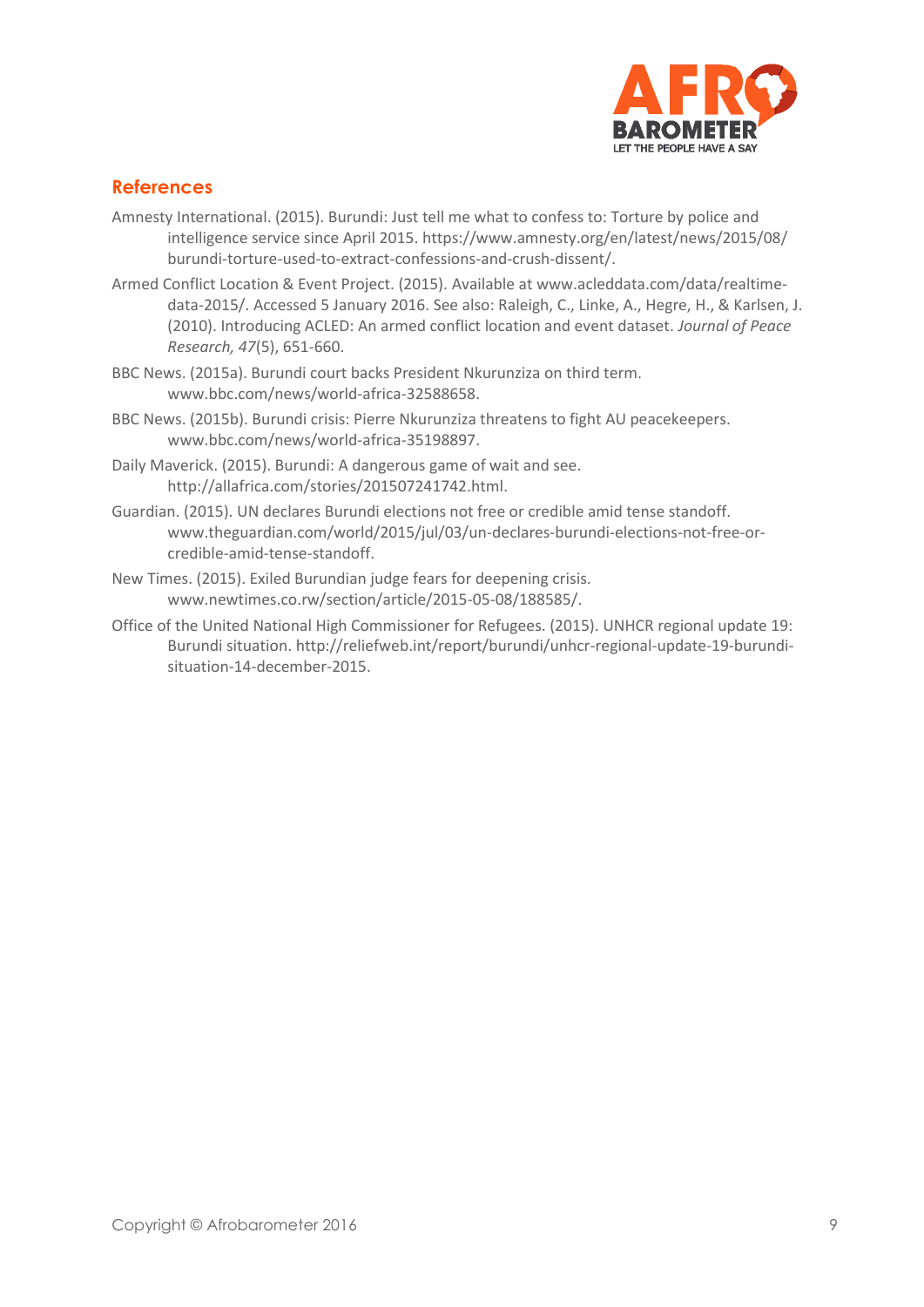

### **References**

- Amnesty International. (2015). Burundi: Just tell me what to confess to: Torture by police and intelligence service since April 2015. [https://www.amnesty.org/en/latest/news/2015/08/](https://www.amnesty.org/en/latest/news/2015/08/%20burundi-torture-used-to-extract-confessions-and-crush-dissent/)  [burundi-torture-used-to-extract-confessions-and-crush-dissent/.](https://www.amnesty.org/en/latest/news/2015/08/%20burundi-torture-used-to-extract-confessions-and-crush-dissent/)
- Armed Conflict Location & Event Project. (2015). Available at www.acleddata.com/data/realtimedata-2015/. Accessed 5 January 2016. See also: Raleigh, C., Linke, A., Hegre, H., & Karlsen, J. (2010). Introducing ACLED: An armed conflict location and event dataset. *Journal of Peace Research, 47*(5), 651-660.
- BBC News. (2015a). Burundi court backs President Nkurunziza on third term. [www.bbc.com/news/world-africa-32588658.](http://www.bbc.com/news/world-africa-32588658)
- BBC News. (2015b). Burundi crisis: Pierre Nkurunziza threatens to fight AU peacekeepers. [www.bbc.com/news/world-africa-35198897.](http://www.bbc.com/news/world-africa-35198897)
- Daily Maverick. (2015). Burundi: A dangerous game of wait and see. [http://allafrica.com/stories/201507241742.html.](http://allafrica.com/stories/201507241742.html)
- Guardian. (2015). UN declares Burundi elections not free or credible amid tense standoff. [www.theguardian.com/world/2015/jul/03/un-declares-burundi-elections-not-free-or](http://www.theguardian.com/world/2015/jul/03/un-declares-burundi-elections-not-free-or-credible-amid-tense-standoff)[credible-amid-tense-standoff.](http://www.theguardian.com/world/2015/jul/03/un-declares-burundi-elections-not-free-or-credible-amid-tense-standoff)
- New Times. (2015). Exiled Burundian judge fears for deepening crisis. [www.newtimes.co.rw/section/article/2015-05-08/188585/.](http://www.newtimes.co.rw/section/article/2015-05-08/188585/)
- Office of the United National High Commissioner for Refugees. (2015). UNHCR regional update 19: Burundi situation[. http://reliefweb.int/report/burundi/unhcr-regional-update-19-burundi](http://reliefweb.int/report/burundi/unhcr-regional-update-19-burundi-situation-14-december-2015)[situation-14-december-2015.](http://reliefweb.int/report/burundi/unhcr-regional-update-19-burundi-situation-14-december-2015)